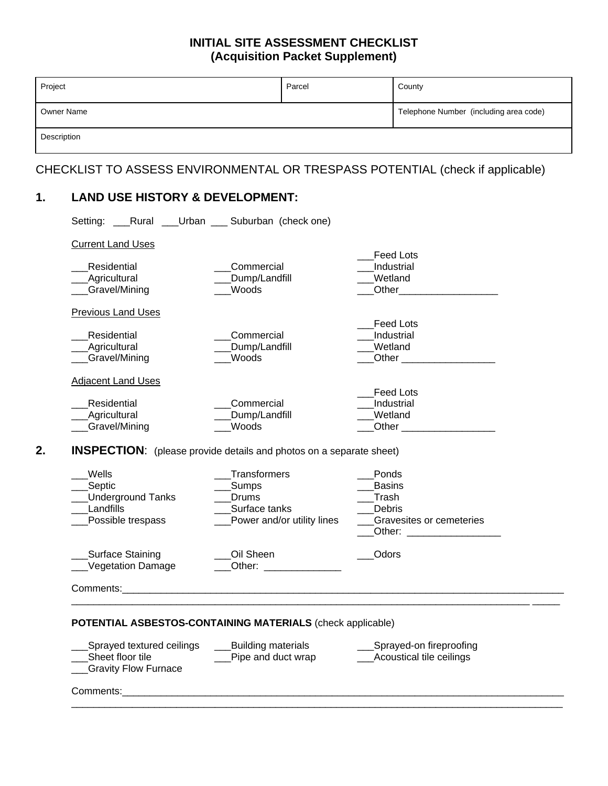## **INITIAL SITE ASSESSMENT CHECKLIST (Acquisition Packet Supplement)**

| Owner Name<br>Description<br>CHECKLIST TO ASSESS ENVIRONMENTAL OR TRESPASS POTENTIAL (check if applicable)<br><b>LAND USE HISTORY &amp; DEVELOPMENT:</b><br>$\mathbf 1$ .<br>Setting: _____Rural _____Urban ______ Suburban (check one)<br><b>Current Land Uses</b><br><b>Feed Lots</b> | Project                   | Parcel     | County                                 |
|-----------------------------------------------------------------------------------------------------------------------------------------------------------------------------------------------------------------------------------------------------------------------------------------|---------------------------|------------|----------------------------------------|
|                                                                                                                                                                                                                                                                                         |                           |            | Telephone Number (including area code) |
|                                                                                                                                                                                                                                                                                         |                           |            |                                        |
|                                                                                                                                                                                                                                                                                         |                           |            |                                        |
|                                                                                                                                                                                                                                                                                         |                           |            |                                        |
|                                                                                                                                                                                                                                                                                         |                           |            |                                        |
|                                                                                                                                                                                                                                                                                         |                           |            |                                        |
|                                                                                                                                                                                                                                                                                         | Residential               | Commercial | Industrial                             |
| Dump/Landfill<br><b>Agricultural</b><br>Wetland<br>Woods<br>Gravel/Mining<br>Other                                                                                                                                                                                                      |                           |            |                                        |
|                                                                                                                                                                                                                                                                                         | <b>Previous Land Uses</b> |            | <b>Feed Lots</b>                       |

\_\_\_Agricultural \_\_\_Dump/Landfill \_\_\_Wetland

| Wells                                 | <b>Transformers</b>                                                                                                                                                                                                                         | <b>Ponds</b>                                                                                                                                                                                                                                               |
|---------------------------------------|---------------------------------------------------------------------------------------------------------------------------------------------------------------------------------------------------------------------------------------------|------------------------------------------------------------------------------------------------------------------------------------------------------------------------------------------------------------------------------------------------------------|
| __Septic                              | _Sumps                                                                                                                                                                                                                                      | <b>Basins</b>                                                                                                                                                                                                                                              |
| ___Underground Tanks                  | Drums                                                                                                                                                                                                                                       | Trash                                                                                                                                                                                                                                                      |
| Landfills                             | Surface tanks                                                                                                                                                                                                                               | Debris                                                                                                                                                                                                                                                     |
| ___Possible trespass                  | Power and/or utility lines                                                                                                                                                                                                                  | Gravesites or cemeteries<br>Other: the contract of the contract of the contract of the contract of the contract of the contract of the contract of the contract of the contract of the contract of the contract of the contract of the contract of the con |
| Surface Staining<br>Vegetation Damage | Oil Sheen<br>Other: and the state of the state of the state of the state of the state of the state of the state of the state of the state of the state of the state of the state of the state of the state of the state of the state of the | Odors                                                                                                                                                                                                                                                      |

 $\mathcal{L}_\mathcal{L} = \mathcal{L}_\mathcal{L} = \mathcal{L}_\mathcal{L} = \mathcal{L}_\mathcal{L} = \mathcal{L}_\mathcal{L} = \mathcal{L}_\mathcal{L} = \mathcal{L}_\mathcal{L} = \mathcal{L}_\mathcal{L} = \mathcal{L}_\mathcal{L} = \mathcal{L}_\mathcal{L} = \mathcal{L}_\mathcal{L} = \mathcal{L}_\mathcal{L} = \mathcal{L}_\mathcal{L} = \mathcal{L}_\mathcal{L} = \mathcal{L}_\mathcal{L} = \mathcal{L}_\mathcal{L} = \mathcal{L}_\mathcal{L}$ 

 **POTENTIAL ASBESTOS-CONTAINING MATERIALS** (check applicable)

\_Residential \_\_\_\_\_\_\_\_\_\_\_\_\_\_\_\_\_\_\_\_Commercial \_\_\_\_\_\_\_\_\_\_\_\_\_\_\_\_\_\_\_\_\_Industrial<br>\_\_Agricultural \_\_\_\_\_\_\_\_\_\_\_\_\_\_\_\_\_\_\_Dump/Landfill \_\_\_\_\_\_\_\_\_\_\_\_\_\_\_\_Wetland

\_\_\_Gravel/Mining \_\_\_Woods \_\_\_Other \_\_\_\_\_\_\_\_\_\_\_\_\_\_\_\_\_

Eeed Lots
<br>
Residential
Commercial
Commercial
Commercial
Commercial
Commercial
Commercial
Commercial
Commercial
Commercial
Commercial
Commercial
Commercial
Commercial
Commercial
Commercial
Commercial
Commercial
Commercial \_\_\_Residential \_\_\_\_\_\_\_\_\_\_\_\_\_\_\_\_\_\_\_\_\_\_\_\_Commercial \_\_\_\_\_\_\_\_\_\_\_\_\_\_\_\_\_\_\_\_\_Industrial<br>
\_\_\_\_Agricultural \_\_\_\_\_\_\_\_\_\_\_\_\_\_\_\_\_\_\_\_\_\_Dump/Landfill \_\_\_\_\_\_\_\_\_\_\_\_\_\_\_\_Wetland \_\_\_Dump/Landfill<br>Woods \_\_\_Gravel/Mining \_\_\_Woods \_\_\_Other \_\_\_\_\_\_\_\_\_\_\_\_\_\_\_\_\_

**Adjacent Land Uses** 

| ___Sprayed textured ceilings<br>Sheet floor tile<br>___Gravity Flow Furnace | Building materials<br>Pipe and duct wrap | Sprayed-on fireproofing<br>Acoustical tile ceilings |
|-----------------------------------------------------------------------------|------------------------------------------|-----------------------------------------------------|
| Comments:                                                                   |                                          |                                                     |